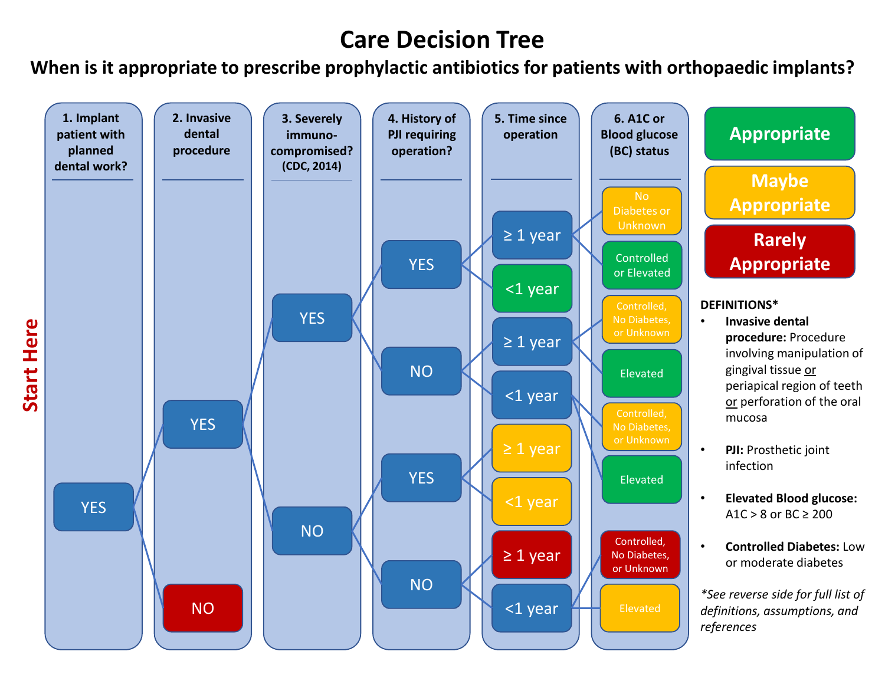# **Care Decision Tree**

**When is it appropriate to prescribe prophylactic antibiotics for patients with orthopaedic implants?**